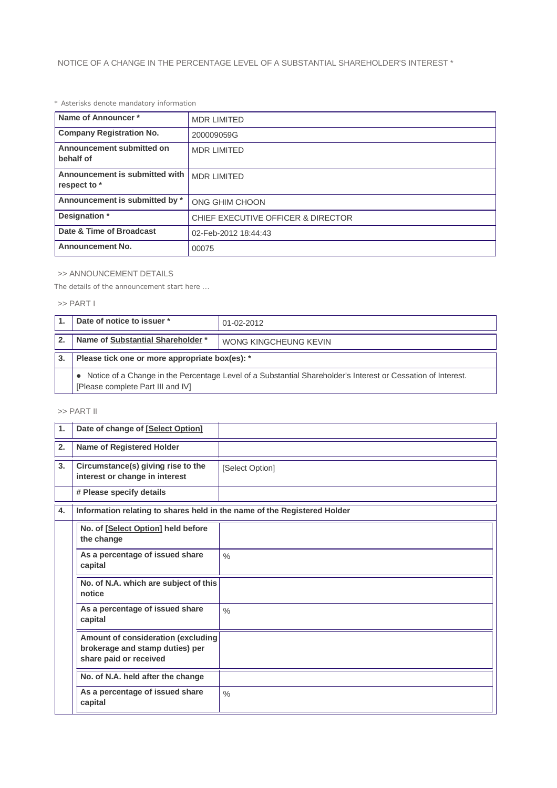## *\* Asterisks denote mandatory information*

| Name of Announcer*                             | <b>MDR LIMITED</b>                 |
|------------------------------------------------|------------------------------------|
| <b>Company Registration No.</b>                | 200009059G                         |
| Announcement submitted on<br>behalf of         | <b>MDR LIMITED</b>                 |
| Announcement is submitted with<br>respect to * | <b>MDR LIMITED</b>                 |
| Announcement is submitted by *                 | ONG GHIM CHOON                     |
| Designation *                                  | CHIEF EXECUTIVE OFFICER & DIRECTOR |
| Date & Time of Broadcast                       | 02-Feb-2012 18:44:43               |
| <b>Announcement No.</b>                        | 00075                              |

## >> ANNOUNCEMENT DETAILS

*The details of the announcement start here ...*

## >> PART I

|              | Date of notice to issuer *                                                                                                                          | 01-02-2012            |  |
|--------------|-----------------------------------------------------------------------------------------------------------------------------------------------------|-----------------------|--|
| $\mathbf{2}$ | Name of Substantial Shareholder *                                                                                                                   | WONG KINGCHEUNG KEVIN |  |
| 3.           | Please tick one or more appropriate box(es): *                                                                                                      |                       |  |
|              | • Notice of a Change in the Percentage Level of a Substantial Shareholder's Interest or Cessation of Interest.<br>[Please complete Part III and IV] |                       |  |

## >> PART II

| 1. | Date of change of [Select Option]                                                               |                 |
|----|-------------------------------------------------------------------------------------------------|-----------------|
| 2. | <b>Name of Registered Holder</b>                                                                |                 |
| 3. | Circumstance(s) giving rise to the<br>interest or change in interest                            | [Select Option] |
|    | # Please specify details                                                                        |                 |
| 4. | Information relating to shares held in the name of the Registered Holder                        |                 |
|    | No. of [Select Option] held before<br>the change                                                |                 |
|    | As a percentage of issued share<br>capital                                                      | $\frac{0}{0}$   |
|    | No. of N.A. which are subject of this<br>notice                                                 |                 |
|    | As a percentage of issued share<br>capital                                                      | $\frac{0}{0}$   |
|    | Amount of consideration (excluding<br>brokerage and stamp duties) per<br>share paid or received |                 |
|    | No. of N.A. held after the change                                                               |                 |
|    | As a percentage of issued share<br>capital                                                      | $\frac{0}{0}$   |